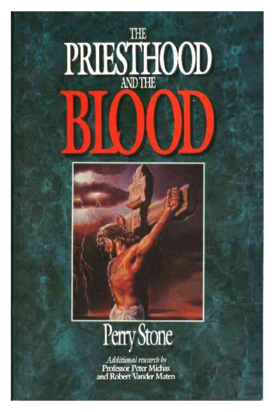

# Perry Stone

Additional recards by<br>Professor Peter Michas and Robert Vander Maten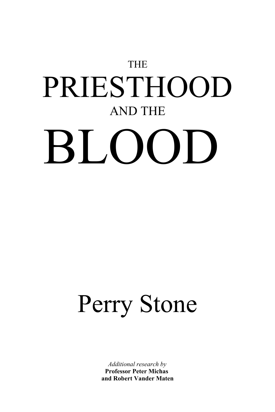## THE PRIESTHOOD AND THE **BLOO**

## Perry Stone

*Additional research by* **Professor Peter Michas and Robert Vander Maten**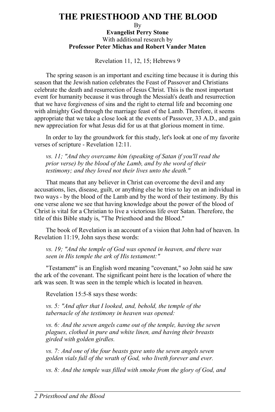## **THE PRIESTHOOD AND THE BLOOD**

By

**Evangelist Perry Stone** With additional research by **Professor Peter Michas and Robert Vander Maten**

Revelation 11, 12, 15; Hebrews 9

The spring season is an important and exciting time because it is during this season that the Jewish nation celebrates the Feast of Passover and Christians celebrate the death and resurrection of Jesus Christ. This is the most important event for humanity because it was through the Messiah's death and resurrection that we have forgiveness of sins and the right to eternal life and becoming one with almighty God through the marriage feast of the Lamb. Therefore, it seems appropriate that we take a close look at the events of Passover, 33 A.D., and gain new appreciation for what Jesus did for us at that glorious moment in time.

In order to lay the groundwork for this study, let's look at one of my favorite verses of scripture - Revelation 12:11.

*vs. 11; "And they overcame him (speaking of Satan if you'll read the prior verse) by the blood of the Lamb, and by the word of their testimony; and they loved not their lives unto the death."*

That means that any believer in Christ can overcome the devil and any accusations, lies, disease, guilt, or anything else he tries to lay on an individual in two ways - by the blood of the Lamb and by the word of their testimony. By this one verse alone we see that having knowledge about the power of the blood of Christ is vital for a Christian to live a victorious life over Satan. Therefore, the title of this Bible study is, "The Priesthood and the Blood."

The book of Revelation is an account of a vision that John had of heaven. In Revelation 11:19, John says these words:

*vs. 19; "And the temple of God was opened in heaven, and there was seen in His temple the ark of His testament:"*

"Testament" is an English word meaning "covenant," so John said he saw the ark of the covenant. The significant point here is the location of where the ark was seen. It was seen in the temple which is located in heaven.

Revelation 15:5-8 says these words:

*vs. 5: "And after that I looked, and, behold, the temple of the tabernacle of the testimony in heaven was opened:*

*vs. 6: And the seven angels came out of the temple, having the seven plagues, clothed in pure and white linen, and having their breasts girded with golden girdles.*

*vs. 7: And one of the four beasts gave unto the seven angels seven golden vials full of the wrath of God, who liveth forever and ever.*

*vs. 8: And the temple was filled with smoke from the glory of God, and*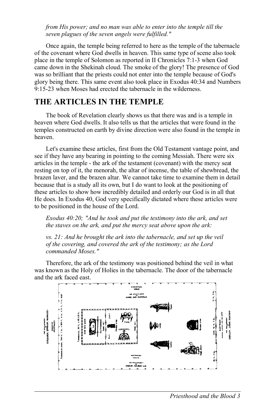*from His power; and no man was able to enter into the temple till the seven plagues of the seven angels were fulfilled."*

Once again, the temple being referred to here as the temple of the tabernacle of the covenant where God dwells in heaven. This same type of scene also took place in the temple of Solomon as reported in II Chronicles 7:1-3 when God came down in the Shekinah cloud. The smoke of the glory! The presence of God was so brilliant that the priests could not enter into the temple because of God's glory being there. This same event also took place in Exodus 40:34 and Numbers 9:15-23 when Moses had erected the tabernacle in the wilderness.

## **THE ARTICLES IN THE TEMPLE**

The book of Revelation clearly shows us that there was and is a temple in heaven where God dwells. It also tells us that the articles that were found in the temples constructed on earth by divine direction were also found in the temple in heaven.

Let's examine these articles, first from the Old Testament vantage point, and see if they have any bearing in pointing to the coming Messiah. There were six articles in the temple - the ark of the testament (covenant) with the mercy seat resting on top of it, the menorah, the altar of incense, the table of shewbread, the brazen laver, and the brazen altar. We cannot take time to examine them in detail because that is a study all its own, but I do want to look at the positioning of these articles to show how incredibly detailed and orderly our God is in all that He does. In Exodus 40, God very specifically dictated where these articles were to be positioned in the house of the Lord.

*Exodus 40:20; "And he took and put the testimony into the ark, and set the staves on the ark, and put the mercy seat above upon the ark:*

*vs. 21: And he brought the ark into the tabernacle, and set up the veil of the covering, and covered the ark of the testimony; as the Lord commanded Moses."*

Therefore, the ark of the testimony was positioned behind the veil in what was known as the Holy of Holies in the tabernacle. The door of the tabernacle and the ark faced east.

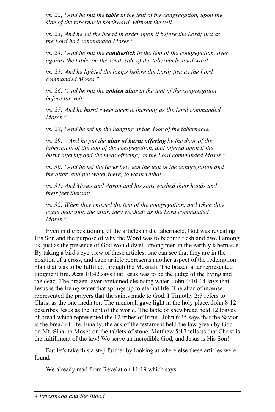*vs. 22; "And he put the table in the tent of the congregation, upon the side of the tabernacle northward, without the veil.*

*vs. 23; And he set the bread in order upon it before the Lord; just as the Lord had commanded Moses."*

*vs. 24; "And he put the candlestick in the tent of the congregation, over against the table, on the south side of the tabernacle southward.*

*vs. 25; And he lighted the lamps before the Lord; just as the Lord commanded Moses."*

*vs. 26; "And he put the golden altar in the tent of the congregation before the veil:*

*vs. 27; And he burnt sweet incense thereon; as the Lord commanded Moses."*

*vs. 28; "And he set up the hanging at the door of the tabernacle.*

*vs. 29; And he put the altar of burnt offering by the door of the tabernacle of the tent of the congregation, and offered upon it the burnt offering and the meat offering; as the Lord commanded Moses."*

*vs. 30; "And he set the laver between the tent of the congregation and the altar, and put water there, to wash withal.*

*vs. 31; And Moses and Aaron and his sons washed their hands and their feet thereat:*

*vs. 32; When they entered the tent of the congregation, and when they came near unto the altar, they washed; as the Lord commanded Moses."*

Even in the positioning of the articles in the tabernacle, God was revealing His Son and the purpose of why the Word was to become flesh and dwell among us, just as the presence of God would dwell among men in the earthly tabernacle. By taking a bird's eye view of these articles, one can see that they are in the position of a cross, and each article represents another aspect of the redemption plan that was to be fulfilled through the Messiah. The brazen altar represented judgment fire. Acts 10:42 says that Jesus was to be the judge of the living and the dead. The brazen laver contained cleansing water. John 4:10-14 says that Jesus is the living water that springs up to eternal life. The altar of incense represented the prayers that the saints made to God. I Timothy 2:5 refers to Christ as the one mediator. The menorah gave light in the holy place. John 8:12 describes Jesus as the light of the world. The table of shewbread held 12 loaves of bread which represented the 12 tribes of Israel. John 6:35 says that the Savior is the bread of life. Finally, the ark of the testament held the law given by God on Mt. Sinai to Moses on the tablets of stone. Matthew 5:17 tells us that Christ is the fulfillment of the law! We serve an incredible God, and Jesus is His Son!

But let's take this a step further by looking at where else these articles were found.

We already read from Revelation 11:19 which says,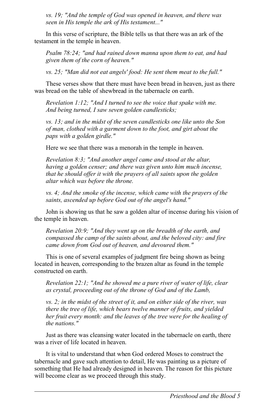*vs. 19; "And the temple of God was opened in heaven, and there was seen in His temple the ark of His testament..."*

In this verse of scripture, the Bible tells us that there was an ark of the testament in the temple in heaven.

*Psalm 78:24; "and had rained down manna upon them to eat, and had given them of the corn of heaven."*

*vs. 25; "Man did not eat angels' food: He sent them meat to the full."*

These verses show that there must have been bread in heaven, just as there was bread on the table of shewbread in the tabernacle on earth.

*Revelation 1:12; "And I turned to see the voice that spake with me. And being turned, I saw seven golden candlesticks;*

*vs. 13; and in the midst of the seven candlesticks one like unto the Son of man, clothed with a garment down to the foot, and girt about the paps with a golden girdle."*

Here we see that there was a menorah in the temple in heaven.

*Revelation 8:3; "And another angel came and stood at the altar, having a golden censer; and there was given unto him much incense, that he should offer it with the prayers of all saints upon the golden altar which was before the throne.*

*vs. 4; And the smoke of the incense, which came with the prayers of the saints, ascended up before God out of the angel's hand."*

John is showing us that he saw a golden altar of incense during his vision of the temple in heaven.

*Revelation 20:9; "And they went up on the breadth of the earth, and compassed the camp of the saints about, and the beloved city: and fire came down from God out of heaven, and devoured them."*

This is one of several examples of judgment fire being shown as being located in heaven, corresponding to the brazen altar as found in the temple constructed on earth.

*Revelation 22:1; "And he showed me a pure river of water of life, clear as crystal, proceeding out of the throne of God and of the Lamb,*

*vs. 2; in the midst of the street of it, and on either side of the river, was there the tree of life, which bears twelve manner of fruits, and yielded her fruit every month: and the leaves of the tree were for the healing of the nations."*

Just as there was cleansing water located in the tabernacle on earth, there was a river of life located in heaven.

It is vital to understand that when God ordered Moses to construct the tabernacle and gave such attention to detail, He was painting us a picture of something that He had already designed in heaven. The reason for this picture will become clear as we proceed through this study.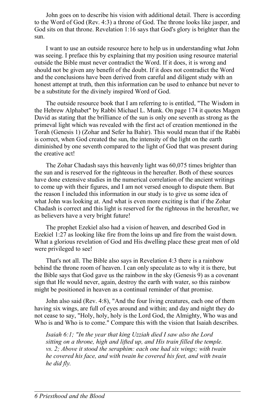John goes on to describe his vision with additional detail. There is according to the Word of God (Rev. 4:3) a throne of God. The throne looks like jasper, and God sits on that throne. Revelation 1:16 says that God's glory is brighter than the sun.

I want to use an outside resource here to help us in understanding what John was seeing. I preface this by explaining that my position using resource material outside the Bible must never contradict the Word. If it does, it is wrong and should not be given any benefit of the doubt. If it does not contradict the Word and the conclusions have been derived from careful and diligent study with an honest attempt at truth, then this information can be used to enhance but never to be a substitute for the divinely inspired Word of God.

The outside resource book that I am referring to is entitled, "The Wisdom in the Hebrew Alphabet" by Rabbi Michael L. Munk. On page 174 it quotes Magen David as stating that the brilliance of the sun is only one seventh as strong as the primeval light which was revealed with the first act of creation mentioned in the Torah (Genesis 1) (Zohar and Sefer ha Bahir). This would mean that if the Rabbi is correct, when God created the sun, the intensity of the light on the earth diminished by one seventh compared to the light of God that was present during the creative act!

The Zohar Chadash says this heavenly light was 60,075 times brighter than the sun and is reserved for the righteous in the hereafter. Both of these sources have done extensive studies in the numerical correlation of the ancient writings to come up with their figures, and I am not versed enough to dispute them. But the reason I included this information in our study is to give us some idea of what John was looking at. And what is even more exciting is that if the Zohar Chadash is correct and this light is reserved for the righteous in the hereafter, we as believers have a very bright future!

The prophet Ezekiel also had a vision of heaven, and described God in Ezekiel 1:27 as looking like fire from the loins up and fire from the waist down. What a glorious revelation of God and His dwelling place these great men of old were privileged to see!

That's not all. The Bible also says in Revelation 4:3 there is a rainbow behind the throne room of heaven. I can only speculate as to why it is there, but the Bible says that God gave us the rainbow in the sky (Genesis 9) as a covenant sign that He would never, again, destroy the earth with water, so this rainbow might be positioned in heaven as a continual reminder of that promise.

John also said (Rev. 4:8), "And the four living creatures, each one of them having six wings, are full of eyes around and within; and day and night they do not cease to say, "Holy, holy, holy is the Lord God, the Almighty, Who was and Who is and Who is to come." Compare this with the vision that Isaiah describes.

*Isaiah 6:1; "In the year that king Uzziah died I saw also the Lord sitting on a throne, high and lifted up, and His train filled the temple. vs. 2; Above it stood the seraphim: each one had six wings; with twain he covered his face, and with twain he covered his feet, and with twain he did fly.*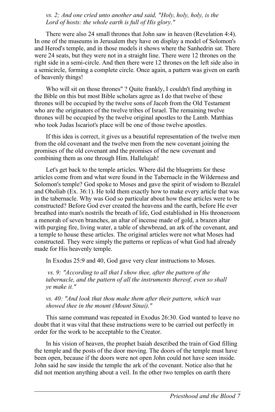#### *vs. 2; And one cried unto another and said, "Holy, holy, holy, is the Lord of hosts: the whole earth is full of His glory."*

There were also 24 small thrones that John saw in heaven (Revelation 4:4). In one of the museums in Jerusalem they have on display a model of Solomon's and Herod's temple, and in those models it shows where the Sanhedrin sat. There were 24 seats, but they were not in a straight line. There were 12 thrones on the right side in a semi-circle. And then there were 12 thrones on the left side also in a semicircle, forming a complete circle. Once again, a pattern was given on earth of heavenly things!

Who will sit on those thrones" ? Quite frankly, I couldn't find anything in the Bible on this but most Bible scholars agree as I do that twelve of these thrones will be occupied by the twelve sons of Jacob from the Old Testament who are the originators of the twelve tribes of Israel. The remaining twelve thrones will be occupied by the twelve original apostles to the Lamb. Matthias who took Judas Iscariot's place will be one of those twelve apostles.

If this idea is correct, it gives us a beautiful representation of the twelve men from the old covenant and the twelve men from the new covenant joining the promises of the old covenant and the promises of the new covenant and combining them as one through Him. Hallelujah!

Let's get back to the temple articles. Where did the blueprints for these articles come from and what were found in the Tabernacle in the Wilderness and Solomon's temple? God spoke to Moses and gave the spirit of wisdom to Bezalel and Oholiab (Ex. 36:1). He told them exactly how to make every article that was in the tabernacle. Why was God so particular about how these articles were to be constructed? Before God ever created the heavens and the earth, before He ever breathed into man's nostrils the breath of life, God established in His throneroom a menorah of seven branches, an altar of incense made of gold, a brazen altar with purging fire, living water, a table of shewbread, an ark of the covenant, and a temple to house these articles. The original articles were not what Moses had constructed. They were simply the patterns or replicas of what God had already made for His heavenly temple.

In Exodus 25:9 and 40, God gave very clear instructions to Moses.

*vs. 9: "According to all that I show thee, after the pattern of the tabernacle, and the pattern of all the instruments thereof, even so shall ye make it."*

*vs. 40: "And look that thou make them after their pattern, which was showed thee in the mount (Mount Sinai)."*

This same command was repeated in Exodus 26:30. God wanted to leave no doubt that it was vital that these instructions were to be carried out perfectly in order for the work to be acceptable to the Creator.

In his vision of heaven, the prophet Isaiah described the train of God filling the temple and the posts of the door moving. The doors of the temple must have been open, because if the doors were not open John could not have seen inside. John said he saw inside the temple the ark of the covenant. Notice also that he did not mention anything about a veil. In the other two temples on earth there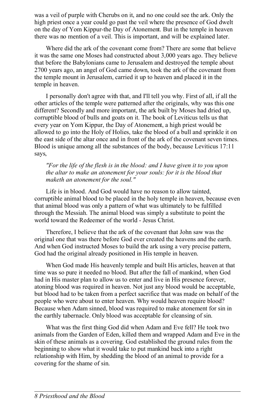was a veil of purple with Cherubs on it, and no one could see the ark. Only the high priest once a year could go past the veil where the presence of God dwelt on the day of Yom Kippur-the Day of Atonement. But in the temple in heaven there was no mention of a veil. This is important, and will be explained later.

Where did the ark of the covenant come from? There are some that believe it was the same one Moses had constructed about 3,000 years ago. They believe that before the Babylonians came to Jerusalem and destroyed the temple about 2700 years ago, an angel of God came down, took the ark of the covenant from the temple mount in Jerusalem, carried it up to heaven and placed it in the temple in heaven.

I personally don't agree with that, and I'll tell you why. First of all, if all the other articles of the temple were patterned after the originals, why was this one different? Secondly and more important, the ark built by Moses had dried up, corruptible blood of bulls and goats on it. The book of Leviticus tells us that every year on Yom Kippur, the Day of Atonement, a high priest would be allowed to go into the Holy of Holies, take the blood of a bull and sprinkle it on the east side of the altar once and in front of the ark of the covenant seven times. Blood is unique among all the substances of the body, because Leviticus 17:11 says,

*"For the life of the flesh is in the blood: and I have given it to you upon the altar to make an atonement for your souls: for it is the blood that maketh an atonement for the soul."*

Life is in blood. And God would have no reason to allow tainted, corruptible animal blood to be placed in the holy temple in heaven, because even that animal blood was only a pattern of what was ultimately to be fulfilled through the Messiah. The animal blood was simply a substitute to point the world toward the Redeemer of the world - Jesus Christ.

Therefore, I believe that the ark of the covenant that John saw was the original one that was there before God ever created the heavens and the earth. And when God instructed Moses to build the ark using a very precise pattern, God had the original already positioned in His temple in heaven.

When God made His heavenly temple and built His articles, heaven at that time was so pure it needed no blood. But after the fall of mankind, when God had in His master plan to allow us to enter and live in His presence forever, atoning blood was required in heaven. Not just any blood would be acceptable, but blood had to be taken from a perfect sacrifice that was made on behalf of the people who were about to enter heaven. Why would heaven require blood? Because when Adam sinned, blood was required to make atonement for sin in the earthly tabernacle. Only blood was acceptable for cleansing of sin.

What was the first thing God did when Adam and Eve fell? He took two animals from the Garden of Eden, killed them and wrapped Adam and Eve in the skin of these animals as a covering. God established the ground rules from the beginning to show what it would take to put mankind back into a right relationship with Him, by shedding the blood of an animal to provide for a covering for the shame of sin.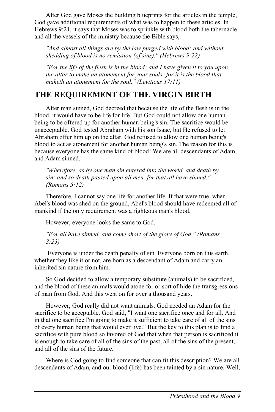After God gave Moses the building blueprints for the articles in the temple, God gave additional requirements of what was to happen to these articles. In Hebrews 9:21, it says that Moses was to sprinkle with blood both the tabernacle and all the vessels of the ministry because the Bible says,

*"And almost all things are by the law purged with blood; and without shedding of blood is no remission (of sins)." (Hebrews 9:22)*

*"For the life of the flesh is in the blood: and I have given it to you upon the altar to make an atonement for your souls: for it is the blood that maketh an atonement for the soul." (Leviticus 17:11)*

## **THE REQUIREMENT OF THE VIRGIN BIRTH**

After man sinned, God decreed that because the life of the flesh is in the blood, it would have to be life for life. But God could not allow one human being to be offered up for another human being's sin. The sacrifice would be unacceptable. God tested Abraham with his son Isaac, but He refused to let Abraham offer him up on the altar. God refused to allow one human being's blood to act as atonement for another human being's sin. The reason for this is because everyone has the same kind of blood! We are all descendants of Adam, and Adam sinned.

*"Wherefore, as by one man sin entered into the world, and death by sin; and so death passed upon all men, for that all have sinned." (Romans 5:12)*

Therefore, I cannot say one life for another life. If that were true, when Abel's blood was shed on the ground, Abel's blood should have redeemed all of mankind if the only requirement was a righteous man's blood.

However, everyone looks the same to God.

*"For all have sinned, and come short of the glory of God." (Romans 3:23)*

Everyone is under the death penalty of sin. Everyone born on this earth, whether they like it or not, are born as a descendant of Adam and carry an inherited sin nature from him.

So God decided to allow a temporary substitute (animals) to be sacrificed, and the blood of these animals would atone for or sort of hide the transgressions of man from God. And this went on for over a thousand years.

However, God really did not want animals. God needed an Adam for the sacrifice to be acceptable. God said, "I want one sacrifice once and for all. And in that one sacrifice I'm going to make it sufficient to take care of all of the sins of every human being that would ever live." But the key to this plan is to find a sacrifice with pure blood so favored of God that when that person is sacrificed it is enough to take care of all of the sins of the past, all of the sins of the present, and all of the sins of the future.

Where is God going to find someone that can fit this description? We are all descendants of Adam, and our blood (life) has been tainted by a sin nature. Well,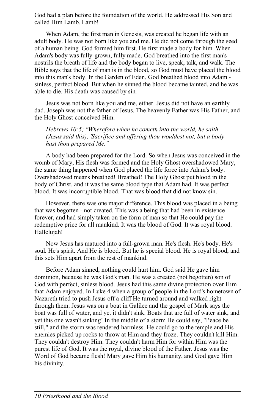God had a plan before the foundation of the world. He addressed His Son and called Him Lamb. Lamb!

When Adam, the first man in Genesis, was created he began life with an adult body. He was not born like you and me. He did not come through the seed of a human being. God formed him first. He first made a body for him. When Adam's body was fully-grown, fully made, God breathed into the first man's nostrils the breath of life and the body began to live, speak, talk, and walk. The Bible says that the life of man is in the blood, so God must have placed the blood into this man's body. In the Garden of Eden, God breathed blood into Adam sinless, perfect blood. But when he sinned the blood became tainted, and he was able to die. His death was caused by sin.

Jesus was not born like you and me, either. Jesus did not have an earthly dad. Joseph was not the father of Jesus. The heavenly Father was His Father, and the Holy Ghost conceived Him.

#### *Hebrews 10:5; "Wherefore when he cometh into the world, he saith (Jesus said this), 'Sacrifice and offering thou wouldest not, but a body hast thou prepared Me."*

A body had been prepared for the Lord. So when Jesus was conceived in the womb of Mary, His flesh was formed and the Holy Ghost overshadowed Mary, the same thing happened when God placed the life force into Adam's body. Overshadowed means breathed! Breathed! The Holy Ghost put blood in the body of Christ, and it was the same blood type that Adam had. It was perfect blood. It was incorruptible blood. That was blood that did not know sin.

However, there was one major difference. This blood was placed in a being that was begotten - not created. This was a being that had been in existence forever, and had simply taken on the form of man so that He could pay the redemptive price for all mankind. It was the blood of God. It was royal blood. Hallelujah!

Now Jesus has matured into a full-grown man. He's flesh. He's body. He's soul. He's spirit. And He is blood. But he is special blood. He is royal blood, and this sets Him apart from the rest of mankind.

Before Adam sinned, nothing could hurt him. God said He gave him dominion, because he was God's man. He was a created (not begotten) son of God with perfect, sinless blood. Jesus had this same divine protection over Him that Adam enjoyed. In Luke 4 when a group of people in the Lord's hometown of Nazareth tried to push Jesus off a cliff He turned around and walked right through them. Jesus was on a boat in Galilee and the gospel of Mark says the boat was full of water, and yet it didn't sink. Boats that are full of water sink, and yet this one wasn't sinking! In the middle of a storm He could say, "Peace be still," and the storm was rendered harmless. He could go to the temple and His enemies picked up rocks to throw at Him and they froze. They couldn't kill Him. They couldn't destroy Him. They couldn't harm Him for within Him was the purest life of God. It was the royal, divine blood of the Father. Jesus was the Word of God became flesh! Mary gave Him his humanity, and God gave Him his divinity.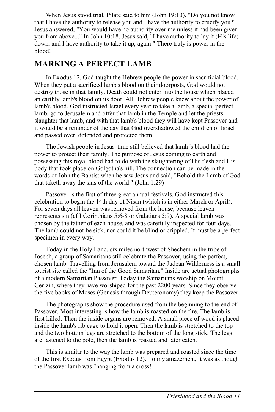When Jesus stood trial, Pilate said to him (John 19:10), "Do you not know that I have the authority to release you and I have the authority to crucify you?" Jesus answered, "You would have no authority over me unless it had been given you from above..." In John 10:18, Jesus said, "I have authority to lay it (His life) down, and I have authority to take it up, again." There truly is power in the blood!

### **MARKING A PERFECT LAMB**

In Exodus 12, God taught the Hebrew people the power in sacrificial blood. When they put a sacrificed lamb's blood on their doorposts, God would not destroy those in that family. Death could not enter into the house which placed an earthly lamb's blood on its door. All Hebrew people knew about the power of lamb's blood. God instructed Israel every year to take a lamb, a special perfect lamb, go to Jerusalem and offer that lamb in the Temple and let the priests slaughter that lamb, and with that lamb's blood they will have kept Passover and it would be a reminder of the day that God overshadowed the children of Israel and passed over, defended and protected them.

The Jewish people in Jesus' time still believed that lamh 's blood had the power to protect their family. The purpose of Jesus coming to earth and possessing this royal blood had to do with the slaughtering of His flesh and His body that took place on Golgotha's hill. The connection can be made in the words of John the Baptist when he saw Jesus and said, "Behold the Lamb of God that taketh away the sins of the world." (John 1:29)

Passover is the first of three great annual festivals. God instructed this celebration to begin the 14th day of Nisan (which is in either March or April). For seven days all leaven was removed from the house, because leaven represents sin (cf I Corinthians 5:6-8 or Galatians 5:9). A special lamb was chosen by the father of each house, and was carefully inspected for four days. The lamb could not be sick, nor could it be blind or crippled. It must be a perfect specimen in every way.

Today in the Holy Land, six miles northwest of Shechem in the tribe of Joseph, a group of Samaritans still celebrate the Passover, using the perfect, chosen lamb. Travelling from Jerusalem toward the Judean Wilderness is a small tourist site called the "Inn of the Good Samaritan." Inside are actual photographs of a modern Samaritan Passover. Today the Samaritans worship on Mount Gerizin, where they have worshiped for the past 2200 years. Since they observe the five books of Moses (Genesis through Deuteronomy) they keep the Passover.

The photographs show the procedure used from the beginning to the end of Passover. Most interesting is how the lamb is roasted on the fire. The lamb is first killed. Then the inside organs are removed. A small piece of wood is placed inside the lamb's rib cage to hold it open. Then the lamb is stretched to the top and the two bottom legs are stretched to the bottom of the long stick. The legs are fastened to the pole, then the lamb is roasted and later eaten.

This is similar to the way the lamb was prepared and roasted since the time of the first Exodus from Egypt (Exodus 12). To my amazement, it was as though the Passover lamb was "hanging from a cross!"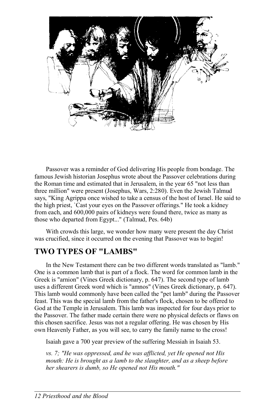

Passover was a reminder of God delivering His people from bondage. The famous Jewish historian Josephus wrote about the Passover celebrations during the Roman time and estimated that in Jerusalem, in the year 65 "not less than three million" were present (Josephus, Wars, 2:280). Even the Jewish Talmud says, "King Agrippa once wished to take a census of the host of Israel. He said to the high priest, `Cast your eyes on the Passover offerings." He took a kidney from each, and 600,000 pairs of kidneys were found there, twice as many as those who departed from Egypt..." (Talmud, Pes. 64b)

With crowds this large, we wonder how many were present the day Christ was crucified, since it occurred on the evening that Passover was to begin!

## **TWO TYPES OF "LAMBS"**

In the New Testament there can be two different words translated as "lamb." One is a common lamb that is part of a flock. The word for common lamb in the Greek is "arnion" (Vines Greek dictionary, p. 647). The second type of lamb uses a different Greek word which is "amnos" (Vines Greek dictionary, p. 647). This lamb would commonly have been called the "pet lamb" during the Passover feast. This was the special lamb from the father's flock, chosen to be offered to God at the Temple in Jerusalem. This lamb was inspected for four days prior to the Passover. The father made certain there were no physical defects or flaws on this chosen sacrifice. Jesus was not a regular offering. He was chosen by His own Heavenly Father, as you will see, to carry the family name to the cross!

Isaiah gave a 700 year preview of the suffering Messiah in Isaiah 53.

*vs. 7; "He was oppressed, and he was afflicted, yet He opened not His mouth: He is brought as a lamb to the slaughter, and as a sheep before her shearers is dumb, so He opened not His mouth."*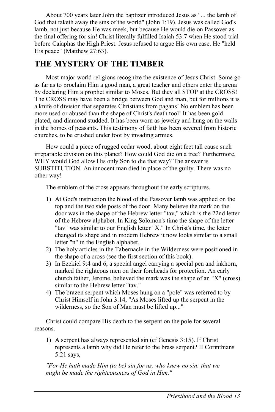About 700 years later John the baptizer introduced Jesus as "... the lamb of God that taketh away the sins of the world" (John 1:19). Jesus was called God's lamb, not just because He was meek, but because He would die on Passover as the final offering for sin! Christ literally fulfilled Isaiah 53:7 when He stood trial before Caiaphas the High Priest. Jesus refused to argue His own case. He "held His peace" (Matthew 27:63).

## **THE MYSTERY OF THE TIMBER**

Most major world religions recognize the existence of Jesus Christ. Some go as far as to proclaim Him a good man, a great teacher and others enter the arena by declaring Him a prophet similar to Moses. But they all STOP at the CROSS! The CROSS may have been a bridge between God and man, but for millions it is a knife of division that separates Christians from pagans! No emblem has been more used or abused than the shape of Christ's death tool! It has been gold plated, and diamond studded. It has been worn as jewelry and hung on the walls in the homes of peasants. This testimony of faith has been severed from historic churches, to be crushed under foot by invading armies.

How could a piece of rugged cedar wood, about eight feet tall cause such irreparable division on this planet? How could God die on a tree? Furthermore, WHY would God allow His only Son to die that way? The answer is SUBSTITUTION. An innocent man died in place of the guilty. There was no other way!

The emblem of the cross appears throughout the early scriptures.

- 1) At God's instruction the blood of the Passover lamb was applied on the top and the two side posts of the door. Many believe the mark on the door was in the shape of the Hebrew letter "tav," which is the 22nd letter of the Hebrew alphabet. In King Solomon's time the shape of the letter "tav" was similar to our English letter "X." In Christ's time, the letter changed its shape and in modern Hebrew it now looks similar to a small letter "n" in the English alphabet.
- 2) The holy articles in the Tabernacle in the Wilderness were positioned in the shape of a cross (see the first section of this book).
- 3) In Ezekiel 9:4 and 6, a special angel carrying a special pen and inkhorn, marked the righteous men on their foreheads for protection. An early church father, Jerome, believed the mark was the shape of an "X" (cross) similar to the Hebrew letter "tav."
- 4) The brazen serpent which Moses hung on a "pole" was referred to by Christ Himself in John 3:14, "As Moses lifted up the serpent in the wilderness, so the Son of Man must be lifted up..."

Christ could compare His death to the serpent on the pole for several reasons.

1) A serpent has always represented sin (cf Genesis 3:15). If Christ represents a lamb why did He refer to the brass serpent? II Corinthians 5:21 says,

*"For He hath made Him (to be) sin for us, who knew no sin; that we might be made the righteousness of God in Him."*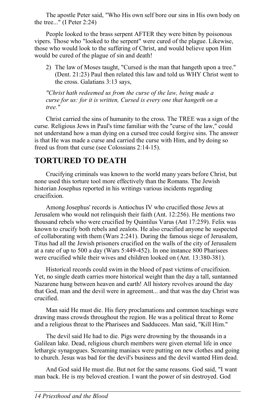The apostle Peter said, "Who His own self bore our sins in His own body on the tree..." (I Peter 2:24)

People looked to the brass serpent AFTER they were bitten by poisonous vipers. Those who "looked to the serpent" were cured of the plague. Likewise, those who would look to the suffering of Christ, and would believe upon Him would be cured of the plague of sin and death!

2) The law of Moses taught, "Cursed is the man that hangeth upon a tree." (Dent. 21:23) Paul then related this law and told us WHY Christ went to the cross. Galatians 3:13 says,

*"Christ hath redeemed us from the curse of the law, being made a curse for us: for it is written, Cursed is every one that hangeth on a tree."*

Christ carried the sins of humanity to the cross. The TREE was a sign of the curse. Religious Jews in Paul's time familiar with the "curse of the law," could not understand how a man dying on a cursed tree could forgive sins. The answer is that He was made a curse and carried the curse with Him, and by doing so freed us from that curse (see Colossians 2:14-15).

## **TORTURED TO DEATH**

Crucifying criminals was known to the world many years before Christ, but none used this torture tool more effectively than the Romans. The Jewish historian Josephus reported in his writings various incidents regarding crucifixion.

Among Josephus' records is Antiochus IV who crucified those Jews at Jerusalem who would not relinquish their faith (Ant. 12:256). He mentions two thousand rebels who were crucified by Quintilus Varus (Ant 17:259). Felix was known to crucify both rebels and zealots. He also crucified anyone he suspected of collaborating with them (Wars 2:241). During the famous siege of Jerusalem, Titus had all the Jewish prisoners crucified on the walls of the city of Jerusalem at a rate of up to 500 a day (Wars 5:449-452). In one instance 800 Pharisees were crucified while their wives and children looked on (Ant. 13:380-381).

Historical records could swim in the blood of past victims of crucifixion. Yet, no single death carries more historical weight than the day a tall, suntanned Nazarene hung between heaven and earth! All history revolves around the day that God, man and the devil were in agreement... and that was the day Christ was crucified.

Man said He must die. His fiery proclamations and common teachings were drawing mass crowds throughout the region. He was a political threat to Rome and a religious threat to the Pharisees and Sadducees. Man said, "Kill Him."

The devil said He had to die. Pigs were drowning by the thousands in a Galilean lake. Dead, religious church members were given eternal life in once lethargic synagogues. Screaming maniacs were putting on new clothes and going to church. Jesus was bad for the devil's business and the devil wanted Him dead.

And God said He must die. But not for the same reasons. God said, "I want man back. He is my beloved creation. I want the power of sin destroyed. God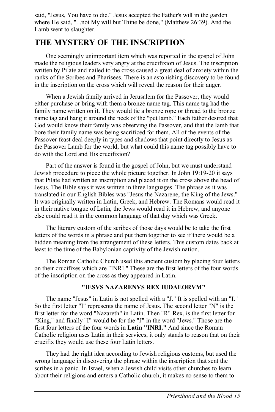said, "Jesus, You have to die." Jesus accepted the Father's will in the garden where He said, "...not My will but Thine be done," (Matthew 26:39). And the Lamb went to slaughter.

## **THE MYSTERY OF THE INSCRIPTION**

One seemingly unimportant item which was reported in the gospel of John made the religious leaders very angry at the crucifixion of Jesus. The inscription written by Pilate and nailed to the cross caused a great deal of anxiety within the ranks of the Scribes and Pharisees. There is an astonishing discovery to be found in the inscription on the cross which will reveal the reason for their anger.

When a Jewish family arrived in Jerusalem for the Passover, they would either purchase or bring with them a bronze name tag. This name tag had the family name written on it. They would tie a bronze rope or thread to the bronze name tag and hang it around the neck of the "pet lamb." Each father desired that God would know their family was observing the Passover, and that the lamb that bore their family name was being sacrificed for them. All of the events of the Passover feast deal deeply in types and shadows that point directly to Jesus as the Passover Lamb for the world, but what could this name tag possibly have to do with the Lord and His crucifixion?

Part of the answer is found in the gospel of John, but we must understand Jewish procedure to piece the whole picture together. In John 19:19-20 it says that Pilate had written an inscription and placed it on the cross above the head of Jesus. The Bible says it was written in three languages. The phrase as it was translated in our English Bibles was "Jesus the Nazarene, the King of the Jews." It was originally written in Latin, Greek, and Hebrew. The Romans would read it in their native tongue of Latin, the Jews would read it in Hebrew, and anyone else could read it in the common language of that day which was Greek.

The literary custom of the scribes of those days would be to take the first letters of the words in a phrase and put them together to see if there would be a hidden meaning from the arrangement of these letters. This custom dates back at least to the time of the Babylonian captivity of the Jewish nation.

The Roman Catholic Church used this ancient custom by placing four letters on their crucifixes which are "INRI." These are the first letters of the four words of the inscription on the cross as they appeared in Latin.

#### **"IESVS NAZARENVS REX IUDAEORVM"**

The name "Jesus" in Latin is not spelled with a "J." It is spelled with an "I." So the first letter "I" represents the name of Jesus. The second letter "N" is the first letter for the word "Nazareth" in Latin. Then "R" Rex, is the first letter for "King," and finally "I" would be for the "J" in the word "Jews." Those are the first four letters of the four words in **Latin "INRI."** And since the Roman Catholic religion uses Latin in their services, it only stands to reason that on their crucifix they would use these four Latin letters.

They had the right idea according to Jewish religious customs, but used the wrong language in discovering the phrase within the inscription that sent the scribes in a panic. In Israel, when a Jewish child visits other churches to learn about their religions and enters a Catholic church, it makes no sense to them to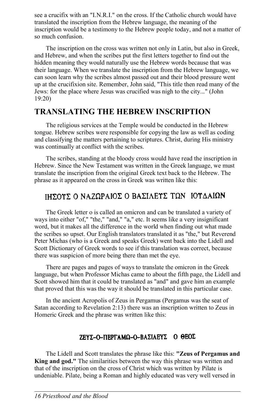see a crucifix with an "I.N.R.I." on the cross. If the Catholic church would have translated the inscription from the Hebrew language, the meaning of the inscription would be a testimony to the Hebrew people today, and not a matter of so much confusion.

The inscription on the cross was written not only in Latin, but also in Greek, and Hebrew, and when the scribes put the first letters together to find out the hidden meaning they would naturally use the Hebrew words because that was their language. When we translate the inscription from the Hebrew language, we can soon learn why the scribes almost passed out and their blood pressure went up at the crucifixion site. Remember, John said, "This title then read many of the Jews: for the place where Jesus was crucified was nigh to the city..." (John 19:20)

## **TRANSLATING THE HEBREW INSCRIPTION**

The religious services at the Temple would be conducted in the Hebrew tongue. Hebrew scribes were responsible for copying the law as well as coding and classifying the matters pertaining to scriptures. Christ, during His ministry was continually at conflict with the scribes.

The scribes, standing at the bloody cross would have read the inscription in Hebrew. Since the New Testament was written in the Greek language, we must translate the inscription from the original Greek text back to the Hebrew. The phrase as it appeared on the cross in Greek was written like this:

## ΙΗΣΟΥΣ Ο ΝΑΖΩΡΑΙΟΣ Ο ΒΑΣΙΛΕΥΣ ΤΩΝ ΙΟΥΔΑΙΩΝ

The Greek letter o is called an omicron and can be translated a variety of ways into either "of," "the," "and," "a," etc. It seems like a very insignificant word, but it makes all the difference in the world when finding out what made the scribes so upset. Our English translators translated it as "the," but Reverend Peter Michas (who is a Greek and speaks Greek) went back into the Lidell and Scott Dictionary of Greek words to see if this translation was correct, because there was suspicion of more being there than met the eye.

There are pages and pages of ways to translate the omicron in the Greek language, but when Professor Michas came to about the fifth page, the Lidell and Scott showed him that it could be translated as "and" and gave him an example that proved that this was the way it should be translated in this particular case.

In the ancient Acropolis of Zeus in Pergamus (Pergamus was the seat of Satan according to Revelation 2:13) there was an inscription written to Zeus in Homeric Greek and the phrase was written like this:

#### ΖΕΥΣ-Ο-ΠΕΡΓΑΜΩ-Ο-ΒΑΣΙΛΕΥΣ Ο ΘΕΟΣ

The Lidell and Scott translates the phrase like this: **"Zeus of Pergamus and King and god."** The similarities between the way this phrase was written and that of the inscription on the cross of Christ which was written by Pilate is undeniable. Pilate, being a Roman and highly educated was very well versed in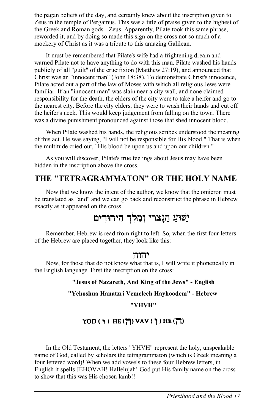the pagan beliefs of the day, and certainly knew about the inscription given to Zeus in the temple of Pergamus. This was a title of praise given to the highest of the Greek and Roman gods - Zeus. Apparently, Pilate took this same phrase, reworded it, and by doing so made this sign on the cross not so much of a mockery of Christ as it was a tribute to this amazing Galilean.

It must be remembered that Pilate's wife had a frightening dream and warned Pilate not to have anything to do with this man. Pilate washed his hands publicly of all "guilt" of the crucifixion (Matthew 27:19), and announced that Christ was an "innocent man" (John 18:38). To demonstrate Christ's innocence, Pilate acted out a part of the law of Moses with which all religious Jews were familiar. If an "innocent man" was slain near a city wall, and none claimed responsibility for the death, the elders of the city were to take a heifer and go to the nearest city. Before the city elders, they were to wash their hands and cut off the heifer's neck. This would keep judgement from falling on the town. There was a divine punishment pronounced against those that shed innocent blood.

When Pilate washed his hands, the religious scribes understood the meaning of this act. He was saying, "I will not be responsible for His blood." That is when the multitude cried out, "His blood be upon us and upon our children."

As you will discover, Pilate's true feelings about Jesus may have been hidden in the inscription above the cross.

## **THE "TETRAGRAMMATON" OR THE HOLY NAME**

Now that we know the intent of the author, we know that the omicron must be translated as "and" and we can go back and reconstruct the phrase in Hebrew exactly as it appeared on the cross.

Remember. Hebrew is read from right to left. So, when the first four letters of the Hebrew are placed together, they look like this:

#### יהוה

Now, for those that do not know what that is, I will write it phonetically in the English language. First the inscription on the cross:

#### **"Jesus of Nazareth, And King of the Jews" - English**

#### **"Yehoshua Hanatzri Vemelech Hayhoodem" - Hebrew**

#### **"YHVH"**

### YOD $( \cdot )$  HE $( \cdot )$  VAV $( \cdot )$  HE $( \cdot )$

In the Old Testament, the letters "YHVH" represent the holy, unspeakable name of God, called by scholars the tetragrammaton (which is Greek meaning a four lettered word)! When we add vowels to these four Hebrew letters, in English it spells JEHOVAH! Hallelujah! God put His family name on the cross to show that this was His chosen lamb!!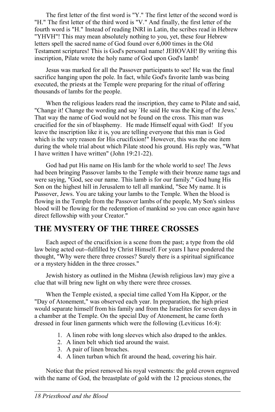The first letter of the first word is "Y." The first letter of the second word is "H." The first letter of the third word is "V." And finally, the first letter of the fourth word is "H." Instead of reading INRI in Latin, the scribes read in Hebrew "YHVH"! This may mean absolutely nothing to you, yet, these four Hebrew letters spell the sacred name of God found over 6,000 times in the Old Testament scriptures! This is God's personal name! JEHOVAH! By writing this inscription, Pilate wrote the holy name of God upon God's lamb!

Jesus was marked for all the Passover participants to see! He was the final sacrifice hanging upon the pole. In fact, while God's favorite lamb was being executed, the priests at the Temple were preparing for the ritual of offering thousands of lambs for the people.

When the religious leaders read the inscription, they came to Pilate and said, "Change it! Change the wording and say `He said He was the King of the Jews.' That way the name of God would not be found on the cross. This man was crucified for the sin of blasphemy. He made Himself equal with God! If you leave the inscription like it is, you are telling everyone that this man is God which is the very reason for His crucifixion!" However, this was the one item during the whole trial about which Pilate stood his ground. His reply was, "What I have written I have written" (John 19:21-22).

God had put His name on His lamb for the whole world to see! The Jews had been bringing Passover lambs to the Temple with their bronze name tags and were saying, "God, see our name. This lamb is for our family." God hung His Son on the highest hill in Jerusalem to tell all mankind, "See My name. It is Passover, Jews. You are taking your lambs to the Temple. When the blood is flowing in the Temple from the Passover lambs of the people, My Son's sinless blood will be flowing for the redemption of mankind so you can once again have direct fellowship with your Creator."

## **THE MYSTERY OF THE THREE CROSSES**

Each aspect of the crucifixion is a scene from the past; a type from the old law being acted out--fulfilled by Christ Himself. For years I have pondered the thought, "Why were there three crosses? Surely there is a spiritual significance or a mystery hidden in the three crosses."

Jewish history as outlined in the Mishna (Jewish religious law) may give a clue that will bring new light on why there were three crosses.

When the Temple existed, a special time called Yom Ha Kippor, or the "Day of Atonement," was observed each year. In preparation, the high priest would separate himself from his family and from the Israelites for seven days in a chamber at the Temple. On the special Day of Atonement, he came forth dressed in four linen garments which were the following (Leviticus 16:4):

- 1. A linen robe with long sleeves which also draped to the ankles.
- 2. A linen belt which tied around the waist.
- 3. A pair of linen breaches.
- 4. A linen turban which fit around the head, covering his hair.

Notice that the priest removed his royal vestments: the gold crown engraved with the name of God, the breastplate of gold with the 12 precious stones, the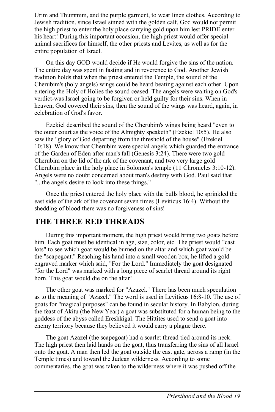Urim and Thummim, and the purple garment, to wear linen clothes. According to Jewish tradition, since Israel sinned with the golden calf, God would not permit the high priest to enter the holy place carrying gold upon him lest PRIDE enter his heart! During this important occasion, the high priest would offer special animal sacrifices for himself, the other priests and Levites, as well as for the entire population of Israel.

On this day GOD would decide if He would forgive the sins of the nation. The entire day was spent in fasting and in reverence to God. Another Jewish tradition holds that when the priest entered the Temple, the sound of the Cherubim's (holy angels) wings could be heard beating against each other. Upon entering the Holy of Holies the sound ceased. The angels were waiting on God's verdict-was Israel going to be forgiven or held guilty for their sins. When in heaven, God covered their sins, then the sound of the wings was heard, again, in celebration of God's favor.

Ezekiel described the sound of the Cherubim's wings being heard "even to the outer court as the voice of the Almighty speaketh" (Ezekiel 10:5). He also saw the "glory of God departing from the threshold of the house" (Ezekiel 10:18). We know that Cherubim were special angels which guarded the entrance of the Garden of Eden after man's fall (Genesis 3:24). There were two gold Cherubim on the lid of the ark of the covenant, and two very large gold Cherubim place in the holy place in Solomon's temple (11 Chronicles 3:10-12). Angels were no doubt concerned about man's destiny with God. Paul said that "...the angels desire to look into these things."

Once the priest entered the holy place with the bulls blood, he sprinkled the east side of the ark of the covenant seven times (Leviticus 16:4). Without the shedding of blood there was no forgiveness of sins!

## **THE THREE RED THREADS**

During this important moment, the high priest would bring two goats before him. Each goat must be identical in age, size, color, etc. The priest would "cast" lots" to see which goat would be burned on the altar and which goat would be the "scapegoat." Reaching his hand into a small wooden box, he lifted a gold engraved marker which said, "For the Lord." Immediately the goat designated "for the Lord" was marked with a long piece of scarlet thread around its right horn. This goat would die on the altar!

The other goat was marked for "Azazel." There has been much speculation as to the meaning of "Azazel." The word is used in Leviticus 16:8-10. The use of goats for "magical purposes" can be found in secular history. In Babylon, during the feast of Akitu (the New Year) a goat was substituted for a human being to the goddess of the abyss called Ereshkigal. The Hittites used to send a goat into enemy territory because they believed it would carry a plague there.

The goat Azazel (the scapegoat) had a scarlet thread tied around its neck. The high priest then laid hands on the goat, thus transferring the sins of all Israel onto the goat. A man then led the goat outside the east gate, across a ramp (in the Temple times) and toward the Judean wilderness. According to some commentaries, the goat was taken to the wilderness where it was pushed off the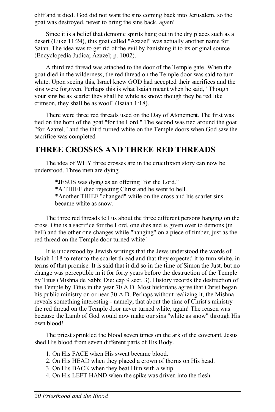cliff and it died. God did not want the sins coming back into Jerusalem, so the goat was destroyed, never to bring the sins back, again!

Since it is a belief that demonic spirits hang out in the dry places such as a desert (Luke 11:24), this goat called "Azazel" was actually another name for Satan. The idea was to get rid of the evil by banishing it to its original source (Encyclopedia Judica; Azazel; p. 1002).

A third red thread was attached to the door of the Temple gate. When the goat died in the wilderness, the red thread on the Temple door was said to turn white. Upon seeing this, Israel knew GOD had accepted their sacrifices and the sins were forgiven. Perhaps this is what Isaiah meant when he said, "Though your sins be as scarlet they shall be white as snow; though they be red like crimson, they shall be as wool" (Isaiah 1:18).

There were three red threads used on the Day of Atonement. The first was tied on the horn of the goat "for the Lord." The second was tied around the goat "for Azazel," and the third turned white on the Temple doors when God saw the sacrifice was completed.

## **THREE CROSSES AND THREE RED THREADS**

The idea of WHY three crosses are in the crucifixion story can now be understood. Three men are dying.

> \*JESUS was dying as an offering "for the Lord." \*A THIEF died rejecting Christ and he went to hell. \*Another THIEF "changed" while on the cross and his scarlet sins became white as snow.

The three red threads tell us about the three different persons hanging on the cross. One is a sacrifice for the Lord, one dies and is given over to demons (in hell) and the other one changes while "hanging" on a piece of timber, just as the red thread on the Temple door turned white!

It is understood by Jewish writings that the Jews understood the words of Isaiah 1:18 to refer to the scarlet thread and that they expected it to turn white, in terms of that promise. It is said that it did so in the time of Simon the Just, but no change was perceptible in it for forty years before the destruction of the Temple by Titus (Mishna de Sabb; Die: cap 9 sect. 3). History records the destruction of the Temple by Titus in the year 70 A.D. Most historians agree that Christ began his public ministry on or near 30 A.D. Perhaps without realizing it, the Mishna reveals something interesting - namely, that about the time of Christ's ministry the red thread on the Temple door never turned white, again! The reason was because the Lamb of God would now make our sins "white as snow" through His own blood!

The priest sprinkled the blood seven times on the ark of the covenant. Jesus shed His blood from seven different parts of His Body.

- 1. On His FACE when His sweat became blood.
- 2. On His HEAD when they placed a crown of thorns on His head.
- 3. On His BACK when they beat Him with a whip.
- 4. On His LEFT HAND when the spike was driven into the flesh.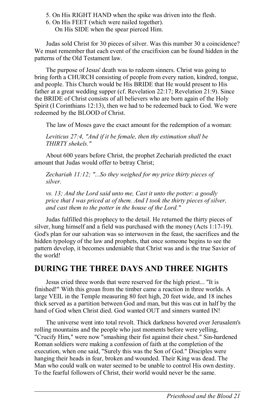- 5. On His RIGHT HAND when the spike was driven into the flesh.
- 6. On His FEET (which were nailed together). On His SIDE when the spear pierced Him.

Judas sold Christ for 30 pieces of silver. Was this number 30 a coincidence? We must remember that each event of the crucifixion can be found hidden in the patterns of the Old Testament law.

The purpose of Jesus' death was to redeem sinners. Christ was going to bring forth a CHURCH consisting of people from every nation, kindred, tongue, and people. This Church would be His BRIDE that He would present to His father at a great wedding supper (cf. Revelation 22:17; Revelation 21:9). Since the BRIDE of Christ consists of all believers who are born again of the Holy Spirit (I Corinthians 12:13), then we had to be redeemed back to God. We were redeemed by the BLOOD of Christ.

The law of Moses gave the exact amount for the redemption of a woman:

*Leviticus 27:4, "And if it be female, then thy estimation shall be THIRTY shekels."*

About 600 years before Christ, the prophet Zechariah predicted the exact amount that Judas would offer to betray Christ;

*Zechariah 11:12; "...So they weighed for my price thirty pieces of silver.*

*vs. 13; And the Lord said unto me, Cast it unto the potter: a goodly price that I was priced at of them. And I took the thirty pieces of silver, and cast them to the potter in the house of the Lord."*

Judas fulfilled this prophecy to the detail. He returned the thirty pieces of silver, hung himself and a field was purchased with the money (Acts 1:17-19). God's plan for our salvation was so interwoven in the feast, the sacrifices and the hidden typology of the law and prophets, that once someone begins to see the pattern develop, it becomes undeniable that Christ was and is the true Savior of the world!

## **DURING THE THREE DAYS AND THREE NIGHTS**

Jesus cried three words that were reserved for the high priest... "It is finished!" With this groan from the timber came a reaction in three worlds. A large VEIL in the Temple measuring 80 feet high, 20 feet wide, and 18 inches thick served as a partition between God and man, but this was cut in half by the hand of God when Christ died. God wanted OUT and sinners wanted IN!

The universe went into total revolt. Thick darkness hovered over Jerusalem's rolling mountains and the people who just moments before were yelling, "Crucify Him," were now "smashing their fist against their chest." Sin-hardened Roman soldiers were making a confession of faith at the completion of the execution, when one said, "Surely this was the Son of God." Disciples were hanging their heads in fear, broken and wounded. Their King was dead. The Man who could walk on water seemed to be unable to control His own destiny. To the fearful followers of Christ, their world would never be the same.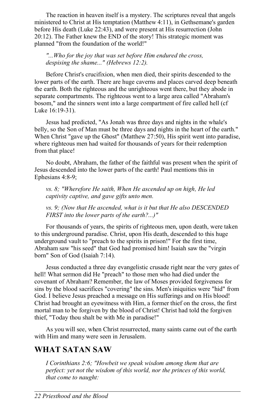The reaction in heaven itself is a mystery. The scriptures reveal that angels ministered to Christ at His temptation (Matthew 4:11), in Gethsemane's garden before His death (Luke 22:43), and were present at His resurrection (John 20:12). The Father knew the END of the story! This strategic moment was planned "from the foundation of the world!"

*"...Who for the joy that was set before Him endured the cross, despising the shame..." (Hebrews 12:2).*

Before Christ's crucifixion, when men died, their spirits descended to the lower parts of the earth. There are huge caverns and places carved deep beneath the earth. Both the righteous and the unrighteous went there, but they abode in separate compartments. The righteous went to a large area called "Abraham's bosom," and the sinners went into a large compartment of fire called hell (cf Luke 16:19-31).

Jesus had predicted, "As Jonah was three days and nights in the whale's belly, so the Son of Man must be three days and nights in the heart of the earth." When Christ "gave up the Ghost" (Matthew 27:50), His spirit went into paradise, where righteous men had waited for thousands of years for their redemption from that place!

No doubt, Abraham, the father of the faithful was present when the spirit of Jesus descended into the lower parts of the earth! Paul mentions this in Ephesians 4:8-9;

*vs. 8; "Wherefore He saith, When He ascended up on high, He led captivity captive, and gave gifts unto men.*

*vs. 9; (Now that He ascended, what is it but that He also DESCENDED FIRST into the lower parts of the earth?...)"*

For thousands of years, the spirits of righteous men, upon death, were taken to this underground paradise. Christ, upon His death, descended to this huge underground vault to "preach to the spirits in prison!" For the first time, Abraham saw "his seed" that God had promised him! Isaiah saw the "virgin born" Son of God (Isaiah 7:14).

Jesus conducted a three day evangelistic crusade right near the very gates of hell! What sermon did He "preach" to those men who had died under the covenant of Abraham? Remember, the law of Moses provided forgiveness for sins by the blood sacrifices "covering" the sins. Men's iniquities were "hid" from God. I believe Jesus preached a message on His sufferings and on His blood! Christ had brought an eyewitness with Him, a former thief on the cross, the first mortal man to be forgiven by the blood of Christ! Christ had told the forgiven thief, "Today thou shalt be with Me in paradise!"

As you will see, when Christ resurrected, many saints came out of the earth with Him and many were seen in Jerusalem.

## **WHAT SATAN SAW**

*I Corinthians 2:6; "Howbeit we speak wisdom among them that are perfect: yet not the wisdom of this world, nor the princes of this world, that come to naught:*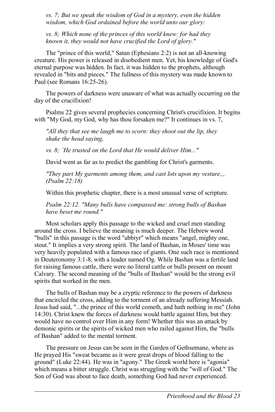*vs. 7; But we speak the wisdom of God in a mystery, even the hidden wisdom, which God ordained before the world unto our glory:*

*vs. 8; Which none of the princes of this world knew: for had they known it, they would not have crucified the Lord of glory."*

The "prince of this world," Satan (Ephesians 2:2) is not an all-knowing creature. His power is released in disobedient men. Yet, his knowledge of God's eternal purpose was hidden. In fact, it was hidden to the prophets, although revealed in "bits and pieces." The fullness of this mystery was made known to Paul (see Romans 16:25-26).

The powers of darkness were unaware of what was actually occurring on the day of the crucifixion!

Psalms 22 gives several prophecies concerning Christ's crucifixion. It begins with "My God, my God, why has thou forsaken me?" It continues in vs. 7,

*"All they that see me laugh me to scorn: they shoot out the lip, they shake the head saying,*

*vs. 8; `He trusted on the Lord that He would deliver Him..."*

David went as far as to predict the gambling for Christ's garments.

*"They part My garments among them, and cast lots upon my vesture.,, (Psalm 22:18)*

Within this prophetic chapter, there is a most unusual verse of scripture.

*Psalm 22:12. "Many bulls have compassed me: strong bulls of Bashan have beset me round."*

Most scholars apply this passage to the wicked and cruel men standing around the cross. I believe the meaning is much deeper. The Hebrew word "bulls" in this passage is the word "abbiyr" which means "angel, mighty one, stout." It implies a very strong spirit. The land of Bashan, in Moses' time was very heavily populated with a famous race of giants. One such race is mentioned in Deuteronomy 3:1-8, with a leader named Og. While Bashan was a fertile land for raising famous cattle, there were no literal cattle or bulls present on mount Calvary. The second meaning of the "bulls of Bashan" would be the strong evil spirits that worked in the men.

The bulls of Bashan may be a cryptic reference to the powers of darkness that encircled the cross, adding to the torment of an already suffering Messiah. Jesus had said, "...the prince of this world cometh, and hath nothing in me" (John 14:30). Christ knew the forces of darkness would battle against Him, but they would have no control over Him in any form! Whether this was an attack by demonic spirits or the spirits of wicked men who railed against Him, the "bulls of Bashan" added to the mental torment.

The pressure on Jesus can be seen in the Garden of Gethsemane, where as He prayed His "sweat became as it were great drops of blood falling to the ground" (Luke 22:44). He was in "agony." The Greek world here is "agonia" which means a bitter struggle. Christ was struggling with the "will of God." The Son of God was about to face death, something God had never experienced.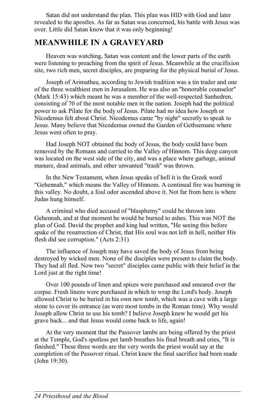Satan did not understand the plan. This plan was HID with God and later revealed to the apostles. As far as Satan was concerned, his battle with Jesus was over. Little did Satan know that it was only beginning!

## **MEANWHILE IN A GRAVEYARD**

Heaven was watching, Satan was content and the lower parts of the earth were listening to preaching from the spirit of Jesus. Meanwhile at the crucifixion site, two rich men, secret disciples, are preparing for the physical burial of Jesus.

Joseph of Arimathea, according to Jewish tradition was a tin trader and one of the three wealthiest men in Jerusalem. He was also an "honorable counselor" (Mark 15:43) which meant he was a member of the well-respected Sanhedren, consisting of 70 of the most notable men in the nation. Joseph had the political power to ask Pilate for the body of Jesus. Pilate had no idea how Joseph or Nicodemus felt about Christ. Nicodemus came "by night" secretly to speak to Jesus. Many believe that Nicodemus owned the Garden of Gethsemane where Jesus went often to pray.

Had Joseph NOT obtained the body of Jesus, the body could have been removed by the Romans and carried to the Valley of Hinnom. This deep canyon was located on the west side of the city, and was a place where garbage, animal manure, dead animals, and other unwanted "trash" was thrown.

In the New Testament, when Jesus speaks of hell it is the Greek word "Gehennah," which means the Valley of Hinnom. A continual fire was burning in this valley. No doubt, a foul odor ascended above it. Not far from here is where Judas hung himself.

A criminal who died accused of "blasphemy" could be thrown into Gehennah, and at that moment he would be burned to ashes. This was NOT the plan of God. David the prophet and king had written, "He seeing this before spake of the resurrection of Christ, that His soul was not left in hell, neither His flesh did see corruption." (Acts 2:31)

The influence of Joseph may have saved the body of Jesus from being destroyed by wicked men. None of the disciples were present to claim the body. They had all fled. Now two "secret" disciples came public with their belief in the Lord just at the right time!

Over 100 pounds of linen and spices were purchased and smeared over the corpse. Fresh linens were purchased in which to wrap the Lord's body. Joseph allowed Christ to be buried in his own new tomb, which was a cave with a large stone to cover its entrance (as were most tombs in the Roman time). Why would Joseph allow Christ to use his tomb? I believe Joseph knew he would get his grave back... and that Jesus would come back to life, again!

At the very moment that the Passover lambs are being offered by the priest at the Temple, God's spotless pet lamb breathes his final breath and cries, "It is finished." These three words are the very words the priest would say at the completion of the Passover ritual. Christ knew the final sacrifice had been made (John 19:30).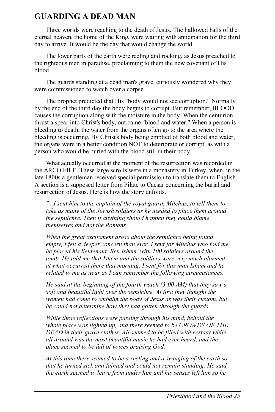## **GUARDING A DEAD MAN**

Three worlds were reaching to the death of Jesus. The hallowed halls of the eternal heaven, the home of the King, were waiting with anticipation for the third day to arrive. It would be the day that would change the world.

The lower parts of the earth were reeling and rocking, as Jesus preached to the righteous men in paradise, proclaiming to them the new covenant of His blood.

The guards standing at a dead man's grave, curiously wondered why they were commissioned to watch over a corpse.

The prophet predicted that His "body would not see corruption." Normally by the end of the third day the body begins to corrupt. But remember, BLOOD causes the corruption along with the moisture in the body. When the centurion thrust a spear into Christ's body, out came "blood and water." When a person is bleeding to death, the water from the organs often go to the area where the bleeding is occurring. By Christ's body being emptied of both blood and water, the organs were in a better condition NOT to deteriorate or corrupt, as with a person who would be buried with the blood still in their body!

What actually occurred at the moment of the resurrection was recorded in the ARCO FILE. These large scrolls were in a monastery in Turkey, when, in the late 1800s a gentleman received special permission to translate them to English. A section is a supposed letter from Pilate to Caesar concerning the burial and resurrection of Jesus. Here is how the story unfolds.

*"...I sent him to the captain of the royal guard, Milchus, to tell them to take as many of the Jewish soldiers as he needed to place them around the sepulchre. Then if anything should happen they could blame themselves and not the Romans.*

*When the great excitement arose about the sepulchre being found empty, I felt a deeper concern than ever. I sent for Milchus who told me he placed his lieutenant, Ben Ishem, with 100 soldiers around the tomb. He told me that Ishem and the soldiers were very much alarmed at what occurred there that morning. I sent for this man Isham and he related to me as near as I can remember the following circumstances.*

*He said at the beginning of the fourth watch (3:00 AM) that they saw a soft and beautiful light over the sepulchre. At first they thought the women had come to embalm the body of Jesus as was their custom, but he could not determine how they had gotten through the guards.*

*While these reflections were passing through his mind, behold the whole place was lighted up, and there seemed to be CROWDS OF THE DEAD in their grave clothes. All seemed to be filled with ecstasy while all around was the most beautiful music he had ever heard, and the place seemed to be full of voices praising God.*

*At this time there seemed to be a reeling and a swinging of the earth so that he turned sick and fainted and could not remain standing. He said the earth seemed to leave from under him and his senses left him so he*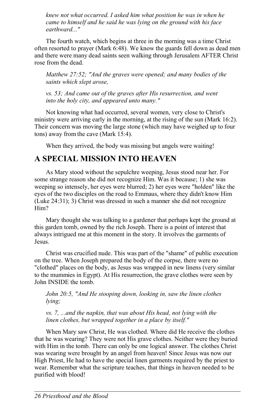*knew not what occurred. I asked him what position he was in when he came to himself and he said he was lying on the ground with his face earthward..."*

The fourth watch, which begins at three in the morning was a time Christ often resorted to prayer (Mark 6:48). We know the guards fell down as dead men and there were many dead saints seen walking through Jerusalem AFTER Christ rose from the dead.

*Matthew 27:52; "And the graves were opened; and many bodies of the saints which slept arose,*

*vs. 53; And came out of the graves after His resurrection, and went into the holy city, and appeared unto many."*

Not knowing what had occurred, several women, very close to Christ's ministry were arriving early in the morning, at the rising of the sun (Mark 16:2). Their concern was moving the large stone (which may have weighed up to four tons) away from the cave (Mark 15:4).

When they arrived, the body was missing but angels were waiting!

## **A SPECIAL MISSION INTO HEAVEN**

As Mary stood without the sepulchre weeping, Jesus stood near her. For some strange reason she did not recognize Him. Was it because; 1) she was weeping so intensely, her eyes were blurred; 2) her eyes were "holden" like the eyes of the two disciples on the road to Emmaus, where they didn't know Him (Luke 24:31); 3) Christ was dressed in such a manner she did not recognize Him?

Mary thought she was talking to a gardener that perhaps kept the ground at this garden tomb, owned by the rich Joseph. There is a point of interest that always intrigued me at this moment in the story. It involves the garments of Jesus.

Christ was crucified nude. This was part of the "shame" of public execution on the tree. When Joseph prepared the body of the corpse, there were no "clothed" places on the body, as Jesus was wrapped in new linens (very similar to the mummies in Egypt). At His resurrection, the grave clothes were seen by John INSIDE the tomb.

*John 20:5, "And He stooping down, looking in, saw the linen clothes lying;*

*vs. 7, ...and the napkin, that was about His head, not lying with the linen clothes, but wrapped together in a place by itself."*

When Mary saw Christ, He was clothed. Where did He receive the clothes that he was wearing? They were not His grave clothes. Neither were they buried with Him in the tomb. There can only be one logical answer. The clothes Christ was wearing were brought by an angel from heaven! Since Jesus was now our High Priest, He had to have the special linen garments required by the priest to wear. Remember what the scripture teaches, that things in heaven needed to be purified with blood!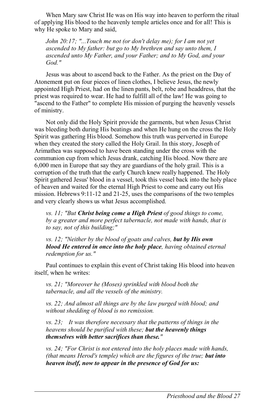When Mary saw Christ He was on His way into heaven to perform the ritual of applying His blood to the heavenly temple articles once and for all! This is why He spoke to Mary and said,

*John 20:17; "...Touch me not (or don't delay me); for I am not yet ascended to My father: but go to My brethren and say unto them, I ascended unto My Father, and your Father; and to My God, and your God."*

Jesus was about to ascend back to the Father. As the priest on the Day of Atonement put on four pieces of linen clothes, I believe Jesus, the newly appointed High Priest, had on the linen pants, belt, robe and headdress, that the priest was required to wear. He had to fulfill all of the law! He was going to "ascend to the Father" to complete His mission of purging the heavenly vessels of ministry.

Not only did the Holy Spirit provide the garments, but when Jesus Christ was bleeding both during His beatings and when He hung on the cross the Holy Spirit was gathering His blood. Somehow this truth was perverted in Europe when they created the story called the Holy Grail. In this story, Joseph of Arimathea was supposed to have been standing under the cross with the communion cup from which Jesus drank, catching His blood. Now there are 6,000 men in Europe that say they are guardians of the holy grail. This is a corruption of the truth that the early Church knew really happened. The Holy Spirit gathered Jesus' blood in a vessel, took this vessel back into the holy place of heaven and waited for the eternal High Priest to come and carry out His mission. Hebrews 9:11-12 and 21-25, uses the comparisons of the two temples and very clearly shows us what Jesus accomplished.

*vs. 11; "But Christ being come a High Priest of good things to come, by a greater and more perfect tabernacle, not made with hands, that is to say, not of this building;"*

*vs. 12; "Neither by the blood of goats and calves, but by His own blood He entered in once into the holy place, having obtained eternal redemption for us."*

Paul continues to explain this event of Christ taking His blood into heaven itself, when he writes:

*vs. 21; "Moreover he (Moses) sprinkled with blood both the tabernacle, and all the vessels of the ministry.*

*vs. 22; And almost all things are by the law purged with blood; and without shedding of blood is no remission.*

*vs. 23; It was therefore necessary that the patterns of things in the heavens should be purified with these; but the heavenly things themselves with better sacrifices than these."*

*vs. 24; "For Christ is not entered into the holy places made with hands, (that means Herod's temple) which are the figures of the true; but into heaven itself, now to appear in the presence of God for us:*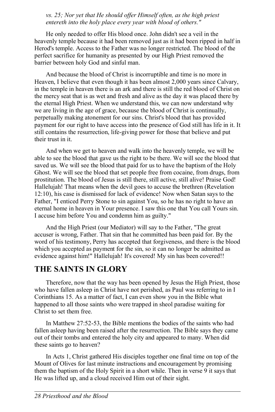#### *vs. 25; Nor yet that He should offer Himself often, as the high priest entereth into the holy place every year with blood of others."*

He only needed to offer His blood once. John didn't see a veil in the heavenly temple because it had been removed just as it had been ripped in half in Herod's temple. Access to the Father was no longer restricted. The blood of the perfect sacrifice for humanity as presented by our High Priest removed the barrier between holy God and sinful man.

And because the blood of Christ is incorruptible and time is no more in Heaven, I believe that even though it has been almost 2,000 years since Calvary, in the temple in heaven there is an ark and there is still the red blood of Christ on the mercy seat that is as wet and fresh and alive as the day it was placed there by the eternal High Priest. When we understand this, we can now understand why we are living in the age of grace, because the blood of Christ is continually, perpetually making atonement for our sins. Christ's blood that has provided payment for our right to have access into the presence of God still has life in it. It still contains the resurrection, life-giving power for those that believe and put their trust in it.

And when we get to heaven and walk into the heavenly temple, we will be able to see the blood that gave us the right to be there. We will see the blood that saved us. We will see the blood that paid for us to have the baptism of the Holy Ghost. We will see the blood that set people free from cocaine, from drugs, from prostitution. The blood of Jesus is still there, still active, still alive! Praise God! Hallelujah! That means when the devil goes to accuse the brethren (Revelation 12:10), his case is dismissed for lack of evidence! Now when Satan says to the Father, "I enticed Perry Stone to sin against You, so he has no right to have an eternal home in heaven in Your presence. I saw this one that You call Yours sin. I accuse him before You and condemn him as guilty."

And the High Priest (our Mediator) will say to the Father, "The great accuser is wrong, Father. That sin that he committed has been paid for. By the word of his testimony, Perry has accepted that forgiveness, and there is the blood which you accepted as payment for the sin, so it can no longer be admitted as evidence against him!" Hallelujah! It's covered! My sin has been covered!!

## **THE SAINTS IN GLORY**

Therefore, now that the way has been opened by Jesus the High Priest, those who have fallen asleep in Christ have not perished, as Paul was referring to in I Corinthians 15. As a matter of fact, I can even show you in the Bible what happened to all those saints who were trapped in sheol paradise waiting for Christ to set them free.

In Matthew 27:52-53, the Bible mentions the bodies of the saints who had fallen asleep having been raised after the resurrection. The Bible says they came out of their tombs and entered the holy city and appeared to many. When did these saints go to heaven?

In Acts 1, Christ gathered His disciples together one final time on top of the Mount of Olives for last minute instructions and encouragement by promising them the baptism of the Holy Spirit in a short while. Then in verse 9 it says that He was lifted up, and a cloud received Him out of their sight.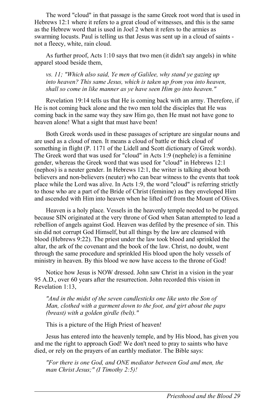The word "cloud" in that passage is the same Greek root word that is used in Hebrews 12:1 where it refers to a great cloud of witnesses, and this is the same as the Hebrew word that is used in Joel 2 when it refers to the armies as swarming locusts. Paul is telling us that Jesus was sent up in a cloud of saints not a fleecy, white, rain cloud.

As further proof, Acts 1:10 says that two men (it didn't say angels) in white apparel stood beside them,

*vs. 11; "Which also said, Ye men of Galilee, why stand ye gazing up into heaven? This same Jesus, which is taken up from you into heaven, shall so come in like manner as ye have seen Him go into heaven."* 

Revelation 19:14 tells us that He is coming back with an army. Therefore, if He is not coming back alone and the two men told the disciples that He was coming back in the same way they saw Him go, then He must not have gone to heaven alone! What a sight that must have been!

Both Greek words used in these passages of scripture are singular nouns and are used as a cloud of men. It means a cloud of battle or thick cloud of something in flight (P. 1171 of the Lidell and Scott dictionary of Greek words). The Greek word that was used for "cloud" in Acts 1:9 (nephele) is a feminine gender, whereas the Greek word that was used for "cloud" in Hebrews 12:1 (nephos) is a neuter gender. In Hebrews 12:1, the writer is talking about both believers and non-believers (neuter) who can bear witness to the events that took place while the Lord was alive. In Acts 1:9, the word "cloud" is referring strictly to those who are a part of the Bride of Christ (feminine) as they enveloped Him and ascended with Him into heaven when he lifted off from the Mount of Olives.

Heaven is a holy place. Vessels in the heavenly temple needed to be purged because SIN originated at the very throne of God when Satan attempted to lead a rebellion of angels against God. Heaven was defiled by the presence of sin. This sin did not corrupt God Himself, but all things by the law are cleansed with blood (Hebrews 9:22). The priest under the law took blood and sprinkled the altar, the ark of the covenant and the book of the law. Christ, no doubt, went through the same procedure and sprinkled His blood upon the holy vessels of ministry in heaven. By this blood we now have access to the throne of God!

Notice how Jesus is NOW dressed. John saw Christ in a vision in the year 95 A.D., over 60 years after the resurrection. John recorded this vision in Revelation 1:13,

*"And in the midst of the seven candlesticks one like unto the Son of Man, clothed with a garment down to the foot, and girt about the paps (breast) with a golden girdle (belt)."*

This is a picture of the High Priest of heaven!

Jesus has entered into the heavenly temple, and by His blood, has given you and me the right to approach God! We don't need to pray to saints who have died, or rely on the prayers of an earthly mediator. The Bible says:

*"For there is one God, and ONE mediator between God and men, the man Christ Jesus;" (I Timothy 2:5)!*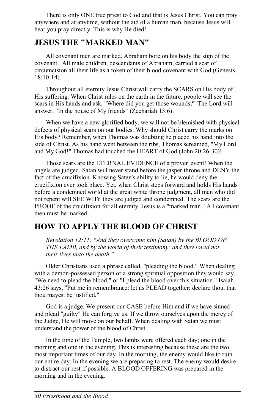There is only ONE true priest to God and that is Jesus Christ. You can pray anywhere and at anytime, without the aid of a human man, because Jesus will hear you pray directly. This is why He died!

## **JESUS THE "MARKED MAN"**

All covenant men are marked. Abraham bore on his body the sign of the covenant. All male children, descendants of Abraham, carried a scar of circumcision all their life as a token of their blood covenant with God (Genesis 18:10-14).

Throughout all eternity Jesus Christ will carry the SCARS on His body of His suffering. When Christ rules on the earth in the future, people will see the scars in His hands and ask, "Where did you get those wounds?" The Lord will answer, "In the house of My friends" (Zechariah 13:6).

When we have a new glorified body, we will not be blemished with physical defects of physical scars on our bodies. Why should Christ carry the marks on His body? Remember, when Thomas was doubting he placed his hand into the side of Christ. As his hand went between the ribs, Thomas screamed, "My Lord and My God!" Thomas had touched the HEART of God (John 20:26-30)!

Those scars are the ETERNAL EVIDENCE of a proven event! When the angels are judged, Satan will never stand before the jasper throne and DENY the fact of the crucifixion. Knowing Satan's ability to lie, he would deny the crucifixion ever took place. Yet, when Christ steps forward and holds His hands before a condemned world at the great white throne judgment, all men who did not repent will SEE WHY they are judged and condemned. The scars are the PROOF of the crucifixion for all eternity. Jesus is a "marked man." All covenant men must be marked.

## **HOW TO APPLY THE BLOOD OF CHRIST**

*Revelation 12:11; "And they overcame him (Satan) by the BLOOD OF THE LAMB, and by the world of their testimony; and they loved not their lives unto the death."*

Older Christians used a phrase called, "pleading the blood." When dealing with a demon-possessed person or a strong spiritual opposition they would say, "We need to plead the blood," or "I plead the blood over this situation." Isaiah 43:26 says, "Put me in remembrance: let us PLEAD together: declare thou, that thou mayest be justified."

God is a judge. We present our CASE before Him and if we have sinned and plead "guilty" He can forgive us. If we throw ourselves upon the mercy of the Judge, He will move on our behalf. When dealing with Satan we must understand the power of the blood of Christ.

In the time of the Temple, two lambs were offered each day; one in the morning and one in the evening. This is interesting because these are the two most important times of our day. In the morning, the enemy would like to ruin our entire day. In the evening we are preparing to rest. The enemy would desire to distract our rest if possible. A BLOOD OFFERING was prepared in the morning and in the evening.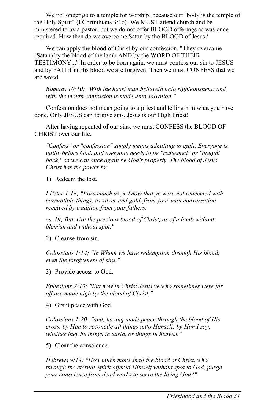We no longer go to a temple for worship, because our "body is the temple of the Holy Spirit" (I Corinthians 3:16). We MUST attend church and be ministered to by a pastor, but we do not offer BLOOD offerings as was once required. How then do we overcome Satan by the BLOOD of Jesus?

We can apply the blood of Christ by our confession. "They overcame (Satan) by the blood of the lamb AND by the WORD OF THEIR TESTIMONY..." In order to be born again, we must confess our sin to JESUS and by FAITH in His blood we are forgiven. Then we must CONFESS that we are saved.

*Romans 10:10; "With the heart man believeth unto righteousness; and with the mouth confession is made unto salvation."*

Confession does not mean going to a priest and telling him what you have done. Only JESUS can forgive sins. Jesus is our High Priest!

After having repented of our sins, we must CONFESS the BLOOD OF CHRIST over our life.

*"Confess" or "confession" simply means admitting to guilt. Everyone is guilty before God, and everyone needs to be "redeemed" or "bought back," so we can once again be God's property. The blood of Jesus Christ has the power to:*

1) Redeem the lost.

*I Peter 1:18; "Forasmuch as ye know that ye were not redeemed with corruptible things, as silver and gold, from your vain conversation received by tradition from your fathers;*

*vs. 19; But with the precious blood of Christ, as of a lamb without blemish and without spot."*

2) Cleanse from sin.

*Colossians 1:14; "In Whom we have redemption through His blood, even the forgiveness of sins."*

3) Provide access to God.

*Ephesians 2:13; "But now in Christ Jesus ye who sometimes were far off are made nigh by the blood of Christ."*

4) Grant peace with God.

*Colossians 1:20; "and, having made peace through the blood of His cross, by Him to reconcile all things unto Himself; by Him I say, whether they be things in earth, or things in heaven."*

5) Clear the conscience.

*Hebrews 9:14; "How much more shall the blood of Christ, who through the eternal Spirit offered Himself without spot to God, purge your conscience from dead works to serve the living God?"*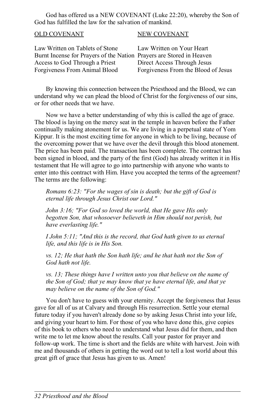God has offered us a NEW COVENANT (Luke 22:20), whereby the Son of God has fulfilled the law for the salvation of mankind.

|--|

#### NEW COVENANT

Law Written on Tablets of Stone Burnt Incense for Prayers of the Nation Prayers are Stored in Heaven Access to God Through a Priest Forgiveness From Animal Blood

Law Written on Your Heart Direct Access Through Jesus Forgiveness From the Blood of Jesus

By knowing this connection between the Priesthood and the Blood, we can understand why we can plead the blood of Christ for the forgiveness of our sins, or for other needs that we have.

Now we have a better understanding of why this is called the age of grace. The blood is laying on the mercy seat in the temple in heaven before the Father continually making atonement for us. We are living in a perpetual state of Yom Kippur. It is the most exciting time for anyone in which to be living, because of the overcoming power that we have over the devil through this blood atonement. The price has been paid. The transaction has been complete. The contract has been signed in blood, and the party of the first (God) has already written it in His testament that He will agree to go into partnership with anyone who wants to enter into this contract with Him. Have you accepted the terms of the agreement? The terms are the following:

*Romans 6:23: "For the wages of sin is death; but the gift of God is eternal life through Jesus Christ our Lord."*

*John 3:16; "For God so loved the world, that He gave His only begotten Son, that whosoever believeth in Him should not perish, but have everlasting life."*

*I John 5:11; "And this is the record, that God hath given to us eternal life, and this life is in His Son.*

*vs. 12; He that hath the Son hath life; and he that hath not the Son of God hath not life.*

*vs. 13; These things have I written unto you that believe on the name of the Son of God; that ye may know that ye have eternal life, and that ye may believe on the name of the Son of God."*

You don't have to guess with your eternity. Accept the forgiveness that Jesus gave for all of us at Calvary and through His resurrection. Settle your eternal future today if you haven't already done so by asking Jesus Christ into your life, and giving your heart to him. For those of you who have done this, give copies of this book to others who need to understand what Jesus did for them, and then write me to let me know about the results. Call your pastor for prayer and follow-up work. The time is short and the fields are white with harvest. Join with me and thousands of others in getting the word out to tell a lost world about this great gift of grace that Jesus has given to us. Amen!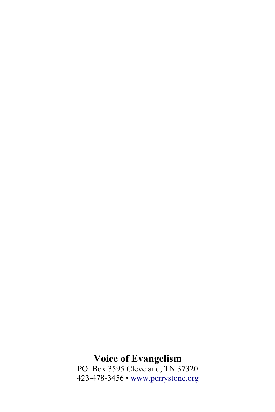## **Voice of Evangelism**

PO. Box 3595 Cleveland, TN 37320 423-478-3456 • www.perrystone.org